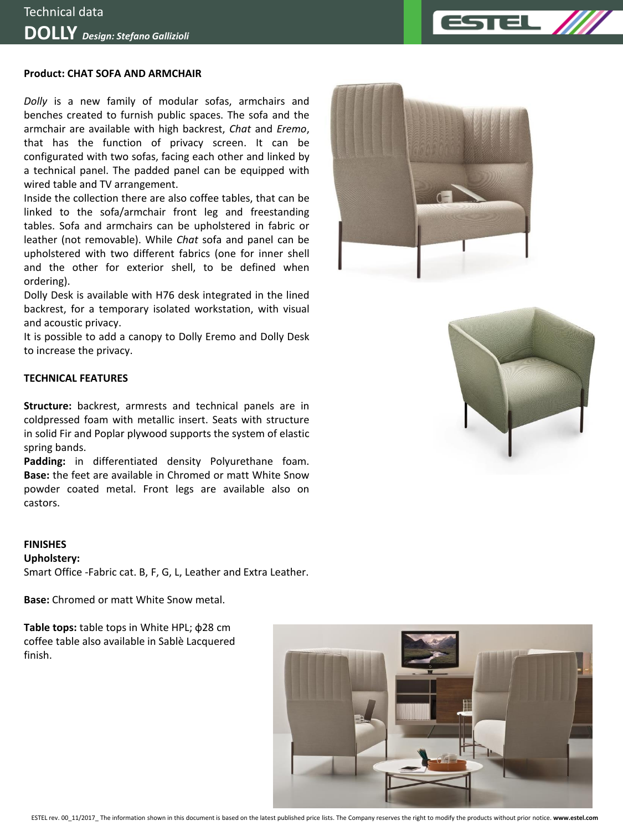### **Product: CHAT SOFA AND ARMCHAIR**

*Dolly* is a new family of modular sofas, armchairs and benches created to furnish public spaces. The sofa and the armchair are available with high backrest, *Chat* and *Eremo*, that has the function of privacy screen. It can be configurated with two sofas, facing each other and linked by a technical panel. The padded panel can be equipped with wired table and TV arrangement.

Inside the collection there are also coffee tables, that can be linked to the sofa/armchair front leg and freestanding tables. Sofa and armchairs can be upholstered in fabric or leather (not removable). While *Chat* sofa and panel can be upholstered with two different fabrics (one for inner shell and the other for exterior shell, to be defined when ordering).

Dolly Desk is available with H76 desk integrated in the lined backrest, for a temporary isolated workstation, with visual and acoustic privacy.

It is possible to add a canopy to Dolly Eremo and Dolly Desk to increase the privacy.

#### **TECHNICAL FEATURES**

**Structure:** backrest, armrests and technical panels are in coldpressed foam with metallic insert. Seats with structure in solid Fir and Poplar plywood supports the system of elastic spring bands.

**Padding:** in differentiated density Polyurethane foam. **Base:** the feet are available in Chromed or matt White Snow powder coated metal. Front legs are available also on castors.

#### **FINISHES**

#### **Upholstery:**

Smart Office -Fabric cat. B, F, G, L, Leather and Extra Leather.

**Base:** Chromed or matt White Snow metal.

**Table tops:** table tops in White HPL; ф28 cm coffee table also available in Sablè Lacquered finish.







TEL .

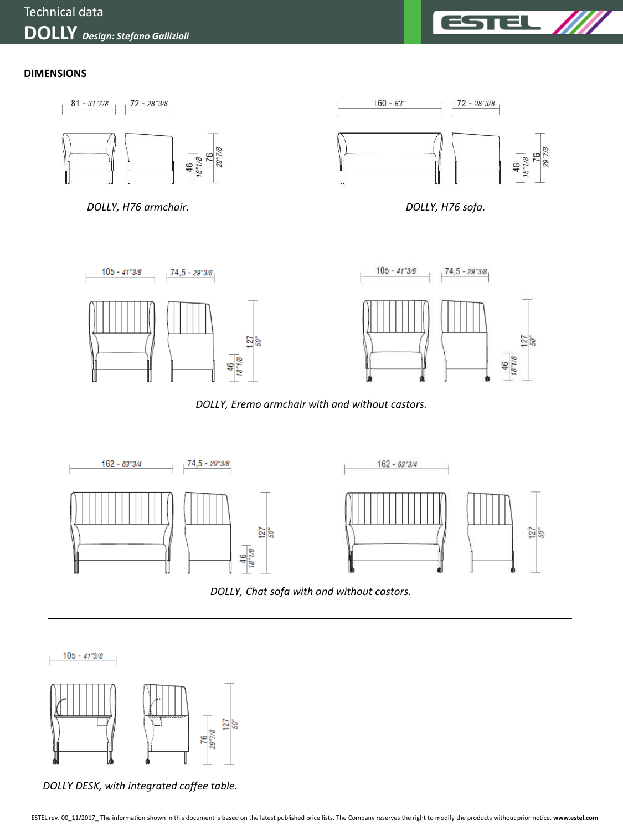

46<br>18"1/8

## **DIMENSIONS**





 $\frac{46}{18^{7}/8}$ 







*DOLLY DESK, with integrated coffee table.*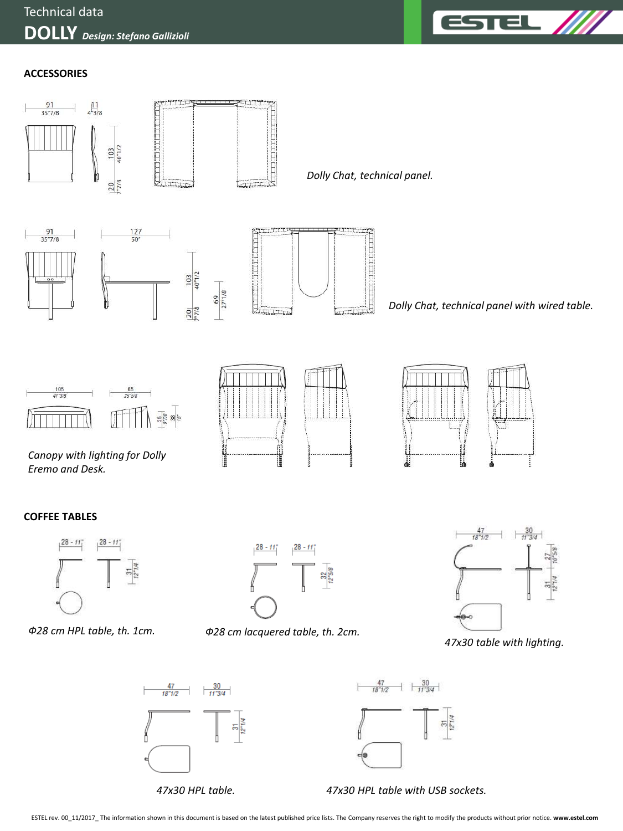

## **ACCESSORIES**



*47x30 HPL table.*

*47x30 HPL table with USB sockets.*

ESTEL rev. 00\_11/2017\_ The information shown in this document is based on the latest published price lists. The Company reserves the right to modify the products without prior notice. **www.estel.com**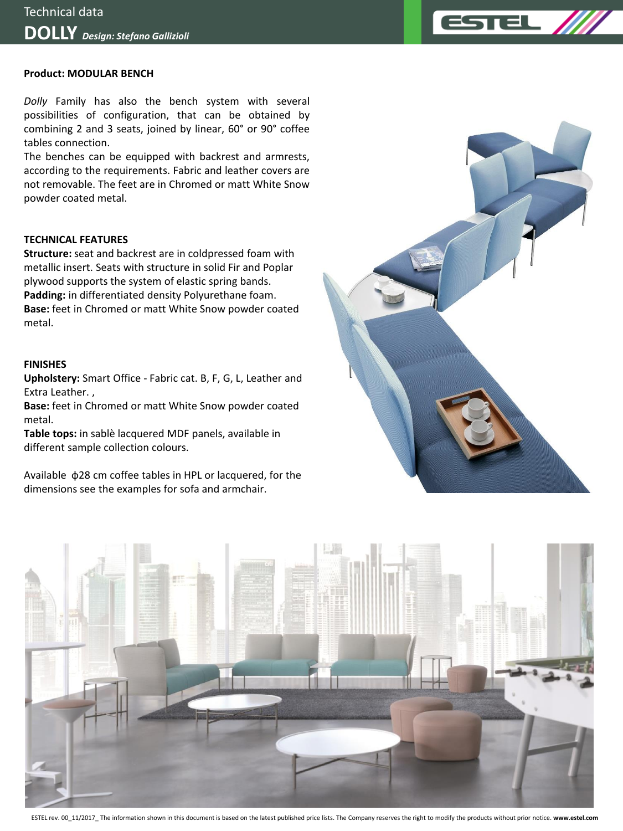### **Product: MODULAR BENCH**

*Dolly* Family has also the bench system with several possibilities of configuration, that can be obtained by combining 2 and 3 seats, joined by linear, 60° or 90° coffee tables connection.

The benches can be equipped with backrest and armrests, according to the requirements. Fabric and leather covers are not removable. The feet are in Chromed or matt White Snow powder coated metal.

### **TECHNICAL FEATURES**

**Structure:** seat and backrest are in coldpressed foam with metallic insert. Seats with structure in solid Fir and Poplar plywood supports the system of elastic spring bands. **Padding:** in differentiated density Polyurethane foam. **Base:** feet in Chromed or matt White Snow powder coated metal.

#### **FINISHES**

**Upholstery:** Smart Office - Fabric cat. B, F, G, L, Leather and Extra Leather. ,

**Base:** feet in Chromed or matt White Snow powder coated metal.

**Table tops:** in sablè lacquered MDF panels, available in different sample collection colours.

Available ф28 cm coffee tables in HPL or lacquered, for the dimensions see the examples for sofa and armchair.





ESTEL rev. 00\_11/2017\_ The information shown in this document is based on the latest published price lists. The Company reserves the right to modify the products without prior notice. **www.estel.com**